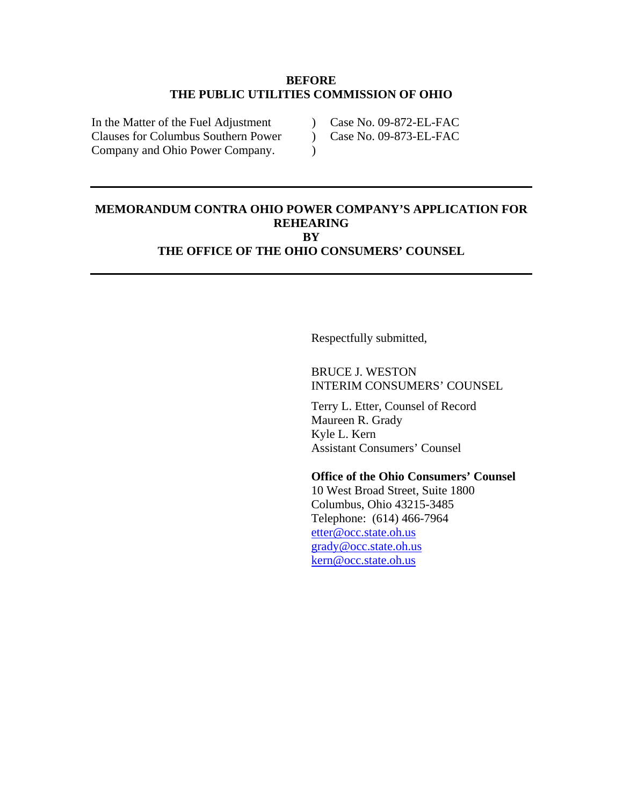#### **BEFORE THE PUBLIC UTILITIES COMMISSION OF OHIO**

 $\lambda$ 

In the Matter of the Fuel Adjustment Clauses for Columbus Southern Power Company and Ohio Power Company.

) Case No. 09-872-EL-FAC

 $\sum$ Case No. 09-873-EL-FAC

### **MEMORANDUM CONTRA OHIO POWER COMPANY'S APPLICATION FOR REHEARING BY THE OFFICE OF THE OHIO CONSUMERS' COUNSEL**

Respectfully submitted,

## BRUCE J. WESTON INTERIM CONSUMERS' COUNSEL

Terry L. Etter, Counsel of Record Maureen R. Grady Kyle L. Kern Assistant Consumers' Counsel

### **Office of the Ohio Consumers' Counsel**

10 West Broad Street, Suite 1800 Columbus, Ohio 43215-3485 Telephone: (614) 466-7964 [etter@occ.state.oh.us](mailto:etter@occ.state.oh.us) [grady@occ.state.oh.us](mailto:grady@occ.state.oh.us) [kern@occ.state.oh.us](mailto:kern@occ.state.oh.us)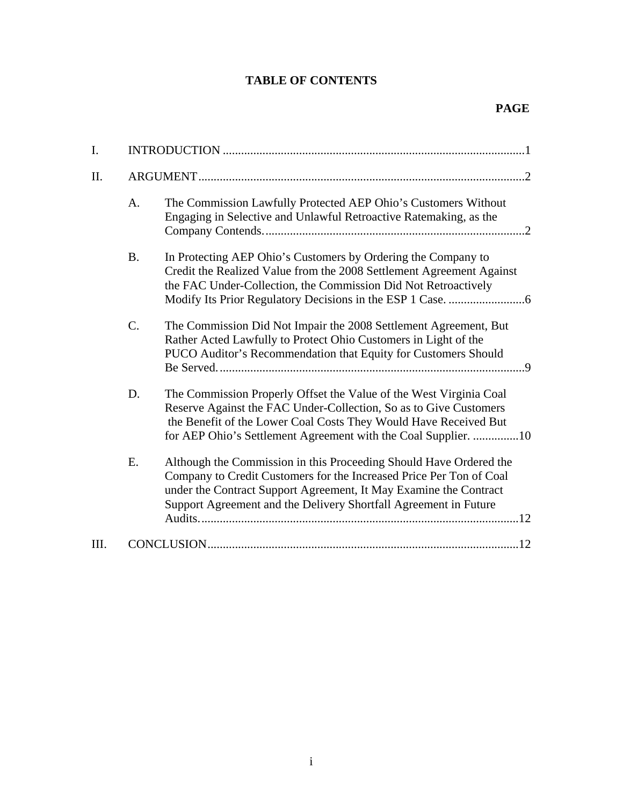# **TABLE OF CONTENTS**

| I.   |           |                                                                                                                                                                                                                                                                                    |  |
|------|-----------|------------------------------------------------------------------------------------------------------------------------------------------------------------------------------------------------------------------------------------------------------------------------------------|--|
| II.  |           |                                                                                                                                                                                                                                                                                    |  |
|      | A.        | The Commission Lawfully Protected AEP Ohio's Customers Without<br>Engaging in Selective and Unlawful Retroactive Ratemaking, as the                                                                                                                                                |  |
|      | <b>B.</b> | In Protecting AEP Ohio's Customers by Ordering the Company to<br>Credit the Realized Value from the 2008 Settlement Agreement Against<br>the FAC Under-Collection, the Commission Did Not Retroactively                                                                            |  |
|      | C.        | The Commission Did Not Impair the 2008 Settlement Agreement, But<br>Rather Acted Lawfully to Protect Ohio Customers in Light of the<br>PUCO Auditor's Recommendation that Equity for Customers Should                                                                              |  |
|      | D.        | The Commission Properly Offset the Value of the West Virginia Coal<br>Reserve Against the FAC Under-Collection, So as to Give Customers<br>the Benefit of the Lower Coal Costs They Would Have Received But<br>for AEP Ohio's Settlement Agreement with the Coal Supplier. 10      |  |
|      | E.        | Although the Commission in this Proceeding Should Have Ordered the<br>Company to Credit Customers for the Increased Price Per Ton of Coal<br>under the Contract Support Agreement, It May Examine the Contract<br>Support Agreement and the Delivery Shortfall Agreement in Future |  |
| III. |           |                                                                                                                                                                                                                                                                                    |  |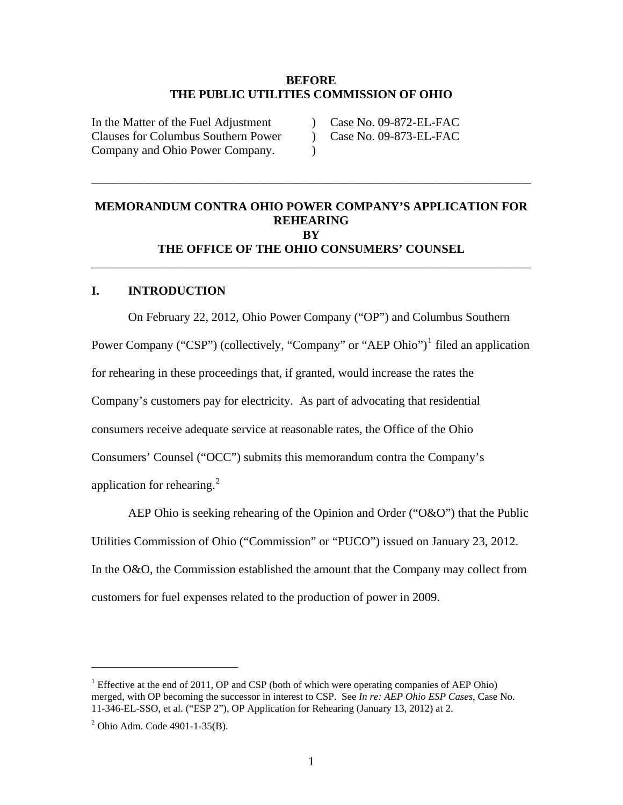#### **BEFORE THE PUBLIC UTILITIES COMMISSION OF OHIO**

 $\lambda$  $\lambda$ 

\_\_\_\_\_\_\_\_\_\_\_\_\_\_\_\_\_\_\_\_\_\_\_\_\_\_\_\_\_\_\_\_\_\_\_\_\_\_\_\_\_\_\_\_\_\_\_\_\_\_\_\_\_\_\_\_\_\_\_\_\_\_\_\_\_\_\_\_\_\_\_\_

<span id="page-2-0"></span>In the Matter of the Fuel Adjustment Clauses for Columbus Southern Power Company and Ohio Power Company.

 $\overline{)}$ Case No. 09-872-EL-FAC

Case No. 09-873-EL-FAC

## **MEMORANDUM CONTRA OHIO POWER COMPANY'S APPLICATION FOR REHEARING BY THE OFFICE OF THE OHIO CONSUMERS' COUNSEL**  \_\_\_\_\_\_\_\_\_\_\_\_\_\_\_\_\_\_\_\_\_\_\_\_\_\_\_\_\_\_\_\_\_\_\_\_\_\_\_\_\_\_\_\_\_\_\_\_\_\_\_\_\_\_\_\_\_\_\_\_\_\_\_\_\_\_\_\_\_\_\_\_

### **I. INTRODUCTION**

On February 22, 2012, Ohio Power Company ("OP") and Columbus Southern Power Company ("CSP") (collectively, "Company" or "AEP Ohio")<sup>[1](#page-2-2)</sup> filed an application for rehearing in these proceedings that, if granted, would increase the rates the Company's customers pay for electricity. As part of advocating that residential consumers receive adequate service at reasonable rates, the Office of the Ohio Consumers' Counsel ("OCC") submits this memorandum contra the Company's application for rehearing.<sup>[2](#page-2-1)</sup>

AEP Ohio is seeking rehearing of the Opinion and Order ("O&O") that the Public Utilities Commission of Ohio ("Commission" or "PUCO") issued on January 23, 2012. In the O&O, the Commission established the amount that the Company may collect from customers for fuel expenses related to the production of power in 2009.

<span id="page-2-2"></span><sup>&</sup>lt;sup>1</sup> Effective at the end of 2011, OP and CSP (both of which were operating companies of AEP Ohio) merged, with OP becoming the successor in interest to CSP. See *In re: AEP Ohio ESP Cases,* Case No. 11-346-EL-SSO, et al. ("ESP 2"), OP Application for Rehearing (January 13, 2012) at 2.

<span id="page-2-1"></span> $2$  Ohio Adm. Code 4901-1-35(B).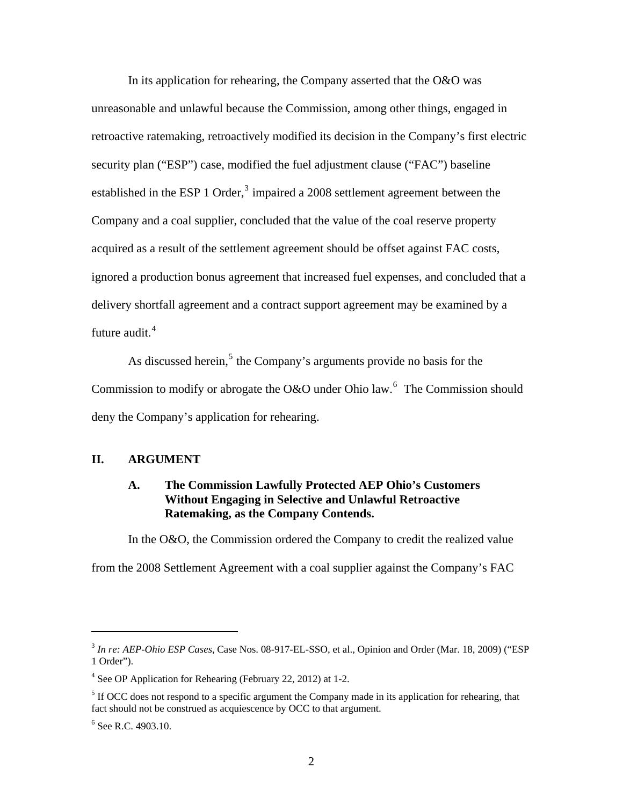<span id="page-3-0"></span>In its application for rehearing, the Company asserted that the O&O was unreasonable and unlawful because the Commission, among other things, engaged in retroactive ratemaking, retroactively modified its decision in the Company's first electric security plan ("ESP") case, modified the fuel adjustment clause ("FAC") baseline established in the ESP 1 Order,<sup>[3](#page-3-3)</sup> impaired a 2008 settlement agreement between the Company and a coal supplier, concluded that the value of the coal reserve property acquired as a result of the settlement agreement should be offset against FAC costs, ignored a production bonus agreement that increased fuel expenses, and concluded that a delivery shortfall agreement and a contract support agreement may be examined by a future audit.<sup>[4](#page-3-4)</sup>

As discussed herein,<sup>[5](#page-3-1)</sup> the Company's arguments provide no basis for the Commission to modify or abrogate the O&O under Ohio law.<sup>[6](#page-3-2)</sup> The Commission should deny the Company's application for rehearing.

## **II. ARGUMENT**

## **A. The Commission Lawfully Protected AEP Ohio's Customers Without Engaging in Selective and Unlawful Retroactive Ratemaking, as the Company Contends.**

In the O&O, the Commission ordered the Company to credit the realized value

from the 2008 Settlement Agreement with a coal supplier against the Company's FAC

<span id="page-3-3"></span><sup>3</sup> *In re: AEP-Ohio ESP Cases*, Case Nos. 08-917-EL-SSO, et al., Opinion and Order (Mar. 18, 2009) ("ESP 1 Order").

<span id="page-3-4"></span><sup>&</sup>lt;sup>4</sup> See OP Application for Rehearing (February 22, 2012) at 1-2.

<span id="page-3-1"></span> $<sup>5</sup>$  If OCC does not respond to a specific argument the Company made in its application for rehearing, that</sup> fact should not be construed as acquiescence by OCC to that argument.

<span id="page-3-2"></span><sup>&</sup>lt;sup>6</sup> See R.C. 4903.10.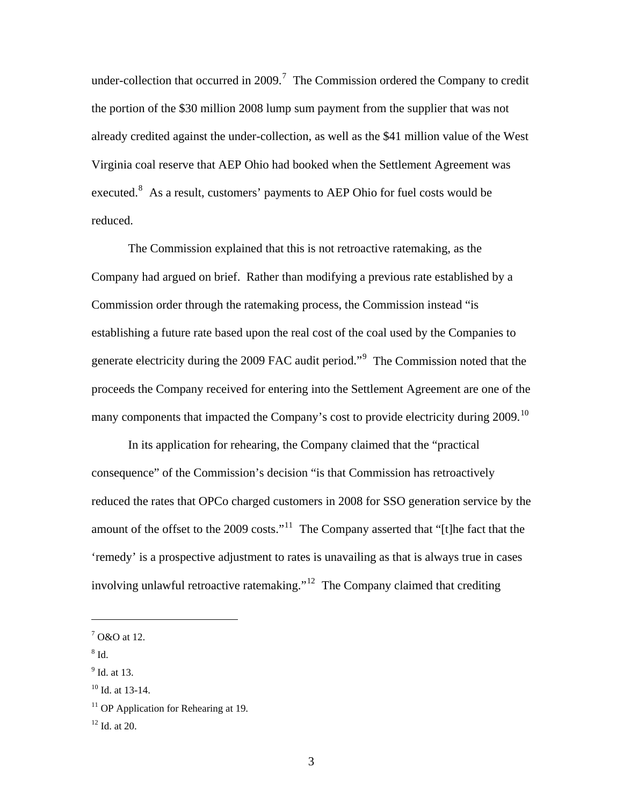under-collection that occurred in 2009.<sup>[7](#page-4-3)</sup> The Commission ordered the Company to credit the portion of the \$30 million 2008 lump sum payment from the supplier that was not already credited against the under-collection, as well as the \$41 million value of the West Virginia coal reserve that AEP Ohio had booked when the Settlement Agreement was executed. $8$  As a result, customers' payments to AEP Ohio for fuel costs would be reduced.

The Commission explained that this is not retroactive ratemaking, as the Company had argued on brief. Rather than modifying a previous rate established by a Commission order through the ratemaking process, the Commission instead "is establishing a future rate based upon the real cost of the coal used by the Companies to generate electricity during the 200[9](#page-4-5) FAC audit period."<sup>9</sup> The Commission noted that the proceeds the Company received for entering into the Settlement Agreement are one of the many components that impacted the Company's cost to provide electricity during 2009.<sup>[10](#page-4-0)</sup>

In its application for rehearing, the Company claimed that the "practical consequence" of the Commission's decision "is that Commission has retroactively reduced the rates that OPCo charged customers in 2008 for SSO generation service by the amount of the offset to the 2009 costs."<sup>[11](#page-4-1)</sup> The Company asserted that "[t]he fact that the 'remedy' is a prospective adjustment to rates is unavailing as that is always true in cases involving unlawful retroactive ratemaking."<sup>[12](#page-4-2)</sup> The Company claimed that crediting

<span id="page-4-4"></span> $^8$  Id.

 $\overline{a}$ 

<span id="page-4-5"></span><sup>9</sup> Id. at 13.

<span id="page-4-3"></span> $7$  O&O at 12.

<span id="page-4-0"></span> $10$  Id. at 13-14.

<span id="page-4-1"></span><sup>&</sup>lt;sup>11</sup> OP Application for Rehearing at 19.

<span id="page-4-2"></span> $12$  Id. at 20.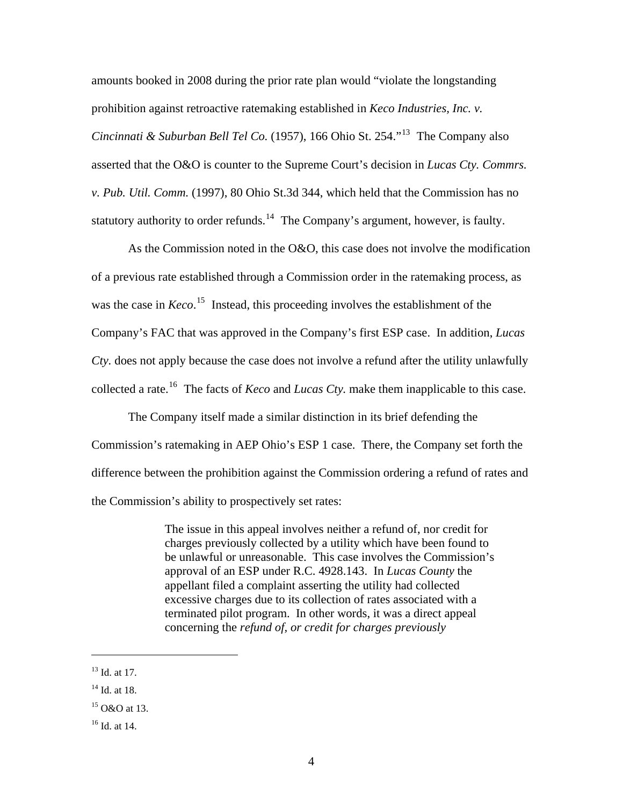amounts booked in 2008 during the prior rate plan would "violate the longstanding prohibition against retroactive ratemaking established in *Keco Industries, Inc. v. Cincinnati & Suburban Bell Tel Co.* (1957), 166 Ohio St. 254."[13](#page-5-2) The Company also asserted that the O&O is counter to the Supreme Court's decision in *Lucas Cty. Commrs. v. Pub. Util. Comm.* (1997), 80 Ohio St.3d 344, which held that the Commission has no statutory authority to order refunds.<sup>[14](#page-5-3)</sup> The Company's argument, however, is faulty.

As the Commission noted in the O&O, this case does not involve the modification of a previous rate established through a Commission order in the ratemaking process, as was the case in *Keco*.<sup>[15](#page-5-0)</sup> Instead, this proceeding involves the establishment of the Company's FAC that was approved in the Company's first ESP case. In addition, *Lucas Cty.* does not apply because the case does not involve a refund after the utility unlawfully collected a rate.<sup>[16](#page-5-1)</sup> The facts of *Keco* and *Lucas Cty*, make them inapplicable to this case.

The Company itself made a similar distinction in its brief defending the Commission's ratemaking in AEP Ohio's ESP 1 case. There, the Company set forth the difference between the prohibition against the Commission ordering a refund of rates and the Commission's ability to prospectively set rates:

> The issue in this appeal involves neither a refund of, nor credit for charges previously collected by a utility which have been found to be unlawful or unreasonable. This case involves the Commission's approval of an ESP under R.C. 4928.143. In *Lucas County* the appellant filed a complaint asserting the utility had collected excessive charges due to its collection of rates associated with a terminated pilot program. In other words, it was a direct appeal concerning the *refund of, or credit for charges previously*

 $\overline{a}$ 

<span id="page-5-1"></span>16 Id. at 14.

<span id="page-5-2"></span><sup>&</sup>lt;sup>13</sup> Id. at 17.

<span id="page-5-3"></span> $14$  Id. at 18.

<span id="page-5-0"></span> $15$  O&O at 13.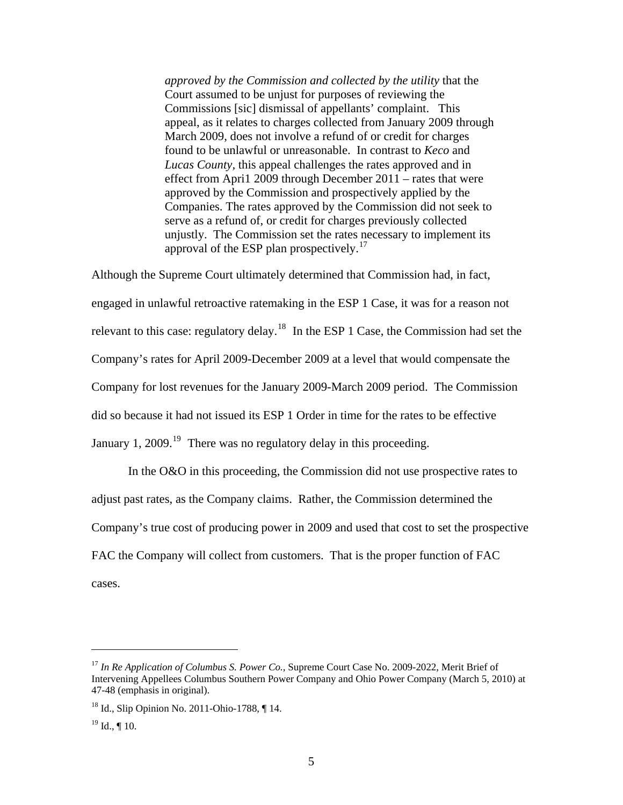*approved by the Commission and collected by the utility* that the Court assumed to be unjust for purposes of reviewing the Commissions [sic] dismissal of appellants' complaint. This appeal, as it relates to charges collected from January 2009 through March 2009, does not involve a refund of or credit for charges found to be unlawful or unreasonable. In contrast to *Keco* and *Lucas County,* this appeal challenges the rates approved and in effect from Apri1 2009 through December 2011 – rates that were approved by the Commission and prospectively applied by the Companies. The rates approved by the Commission did not seek to serve as a refund of, or credit for charges previously collected unjustly. The Commission set the rates necessary to implement its approval of the ESP plan prospectively.<sup>[17](#page-6-2)</sup>

Although the Supreme Court ultimately determined that Commission had, in fact, engaged in unlawful retroactive ratemaking in the ESP 1 Case, it was for a reason not relevant to this case: regulatory delay.<sup>[18](#page-6-1)</sup> In the ESP 1 Case, the Commission had set the Company's rates for April 2009-December 2009 at a level that would compensate the Company for lost revenues for the January 2009-March 2009 period. The Commission did so because it had not issued its ESP 1 Order in time for the rates to be effective January 1, 2009.<sup>[19](#page-6-0)</sup> There was no regulatory delay in this proceeding.

In the O&O in this proceeding, the Commission did not use prospective rates to adjust past rates, as the Company claims. Rather, the Commission determined the Company's true cost of producing power in 2009 and used that cost to set the prospective FAC the Company will collect from customers. That is the proper function of FAC cases.

1

<span id="page-6-2"></span><sup>17</sup> *In Re Application of Columbus S. Power Co.*, Supreme Court Case No. 2009-2022, Merit Brief of Intervening Appellees Columbus Southern Power Company and Ohio Power Company (March 5, 2010) at 47-48 (emphasis in original).

<span id="page-6-1"></span><sup>&</sup>lt;sup>18</sup> Id., Slip Opinion No. 2011-Ohio-1788, ¶ 14.

<span id="page-6-0"></span> $19$  Id., ¶ 10.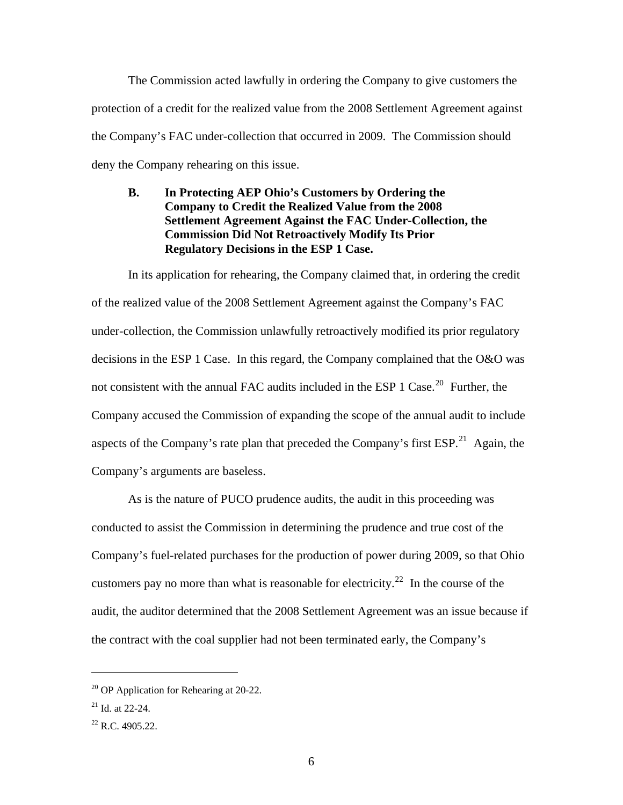<span id="page-7-0"></span>The Commission acted lawfully in ordering the Company to give customers the protection of a credit for the realized value from the 2008 Settlement Agreement against the Company's FAC under-collection that occurred in 2009. The Commission should deny the Company rehearing on this issue.

**B. In Protecting AEP Ohio's Customers by Ordering the Company to Credit the Realized Value from the 2008 Settlement Agreement Against the FAC Under-Collection, the Commission Did Not Retroactively Modify Its Prior Regulatory Decisions in the ESP 1 Case.** 

In its application for rehearing, the Company claimed that, in ordering the credit of the realized value of the 2008 Settlement Agreement against the Company's FAC under-collection, the Commission unlawfully retroactively modified its prior regulatory decisions in the ESP 1 Case. In this regard, the Company complained that the O&O was not consistent with the annual FAC audits included in the ESP 1 Case.<sup>[20](#page-7-3)</sup> Further, the Company accused the Commission of expanding the scope of the annual audit to include aspects of the Company's rate plan that preceded the Company's first  $ESP<sup>21</sup>$  $ESP<sup>21</sup>$  $ESP<sup>21</sup>$  Again, the Company's arguments are baseless.

As is the nature of PUCO prudence audits, the audit in this proceeding was conducted to assist the Commission in determining the prudence and true cost of the Company's fuel-related purchases for the production of power during 2009, so that Ohio customers pay no more than what is reasonable for electricity.<sup>[22](#page-7-1)</sup> In the course of the audit, the auditor determined that the 2008 Settlement Agreement was an issue because if the contract with the coal supplier had not been terminated early, the Company's

<span id="page-7-3"></span> $20$  OP Application for Rehearing at 20-22.

<span id="page-7-2"></span> $21$  Id. at 22-24.

<span id="page-7-1"></span> $^{22}$  R.C. 4905.22.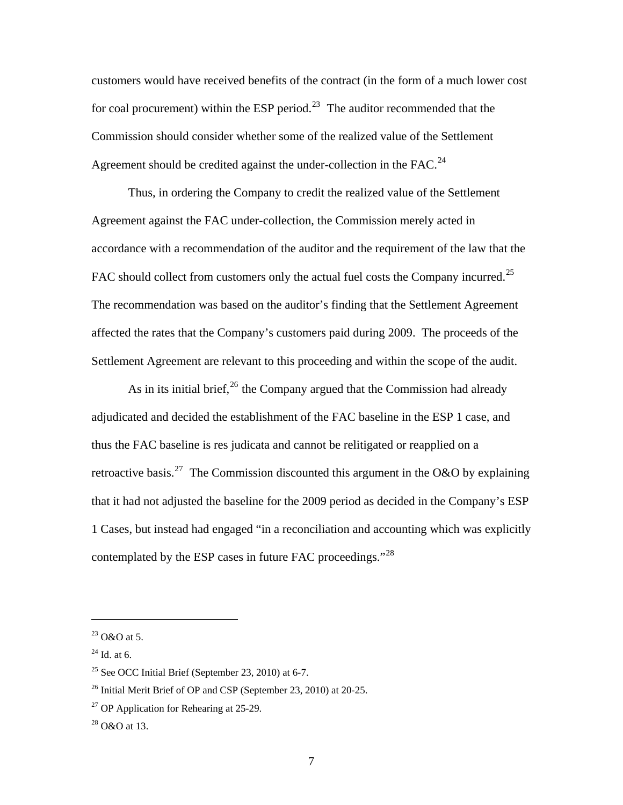customers would have received benefits of the contract (in the form of a much lower cost for coal procurement) within the ESP period.<sup>[23](#page-8-3)</sup> The auditor recommended that the Commission should consider whether some of the realized value of the Settlement Agreement should be credited against the under-collection in the  $FAC.<sup>24</sup>$  $FAC.<sup>24</sup>$  $FAC.<sup>24</sup>$ 

Thus, in ordering the Company to credit the realized value of the Settlement Agreement against the FAC under-collection, the Commission merely acted in accordance with a recommendation of the auditor and the requirement of the law that the FAC should collect from customers only the actual fuel costs the Company incurred.<sup>[25](#page-8-5)</sup> The recommendation was based on the auditor's finding that the Settlement Agreement affected the rates that the Company's customers paid during 2009. The proceeds of the Settlement Agreement are relevant to this proceeding and within the scope of the audit.

As in its initial brief,  $26$  the Company argued that the Commission had already adjudicated and decided the establishment of the FAC baseline in the ESP 1 case, and thus the FAC baseline is res judicata and cannot be relitigated or reapplied on a retroactive basis.<sup>[27](#page-8-1)</sup> The Commission discounted this argument in the O&O by explaining that it had not adjusted the baseline for the 2009 period as decided in the Company's ESP 1 Cases, but instead had engaged "in a reconciliation and accounting which was explicitly contemplated by the ESP cases in future FAC proceedings."<sup>[28](#page-8-2)</sup>

1

<span id="page-8-3"></span> $23$  O&O at 5.

<span id="page-8-4"></span> $24$  Id. at 6.

<span id="page-8-5"></span> $25$  See OCC Initial Brief (September 23, 2010) at 6-7.

<span id="page-8-0"></span> $26$  Initial Merit Brief of OP and CSP (September 23, 2010) at 20-25.

<span id="page-8-1"></span> $27$  OP Application for Rehearing at 25-29.

<span id="page-8-2"></span> $^{28}$  O&O at 13.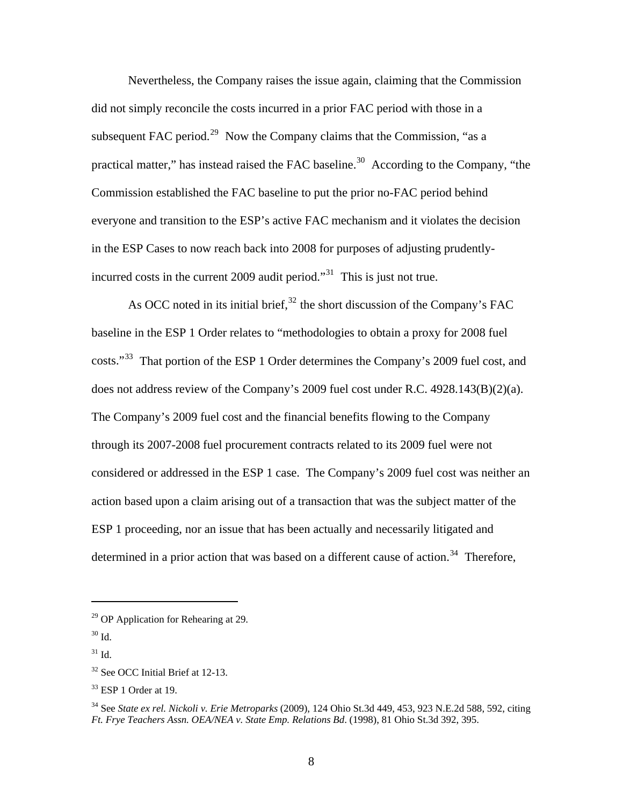Nevertheless, the Company raises the issue again, claiming that the Commission did not simply reconcile the costs incurred in a prior FAC period with those in a subsequent FAC period.<sup>[29](#page-9-3)</sup> Now the Company claims that the Commission, "as a practical matter," has instead raised the FAC baseline.<sup>[30](#page-9-4)</sup> According to the Company, "the Commission established the FAC baseline to put the prior no-FAC period behind everyone and transition to the ESP's active FAC mechanism and it violates the decision in the ESP Cases to now reach back into 2008 for purposes of adjusting prudently-incurred costs in the current 2009 audit period."<sup>[31](#page-9-5)</sup> This is just not true.

As OCC noted in its initial brief,  $32$  the short discussion of the Company's FAC baseline in the ESP 1 Order relates to "methodologies to obtain a proxy for 2008 fuel costs."[33](#page-9-1) That portion of the ESP 1 Order determines the Company's 2009 fuel cost, and does not address review of the Company's 2009 fuel cost under R.C. 4928.143(B)(2)(a). The Company's 2009 fuel cost and the financial benefits flowing to the Company through its 2007-2008 fuel procurement contracts related to its 2009 fuel were not considered or addressed in the ESP 1 case. The Company's 2009 fuel cost was neither an action based upon a claim arising out of a transaction that was the subject matter of the ESP 1 proceeding, nor an issue that has been actually and necessarily litigated and determined in a prior action that was based on a different cause of action.<sup>[34](#page-9-2)</sup> Therefore,

<span id="page-9-3"></span> $29$  OP Application for Rehearing at 29.

<span id="page-9-4"></span> $30$  Id.

<span id="page-9-5"></span> $^{31}$  Id.

<span id="page-9-0"></span><sup>&</sup>lt;sup>32</sup> See OCC Initial Brief at 12-13.

<span id="page-9-1"></span> $33$  ESP 1 Order at 19.

<span id="page-9-2"></span><sup>34</sup> See *State ex rel. Nickoli v. Erie Metroparks* (2009), 124 Ohio St.3d 449, 453, 923 N.E.2d 588, 592, citing *Ft. Frye Teachers Assn. OEA/NEA v. State Emp. Relations Bd*. (1998), 81 Ohio St.3d 392, 395.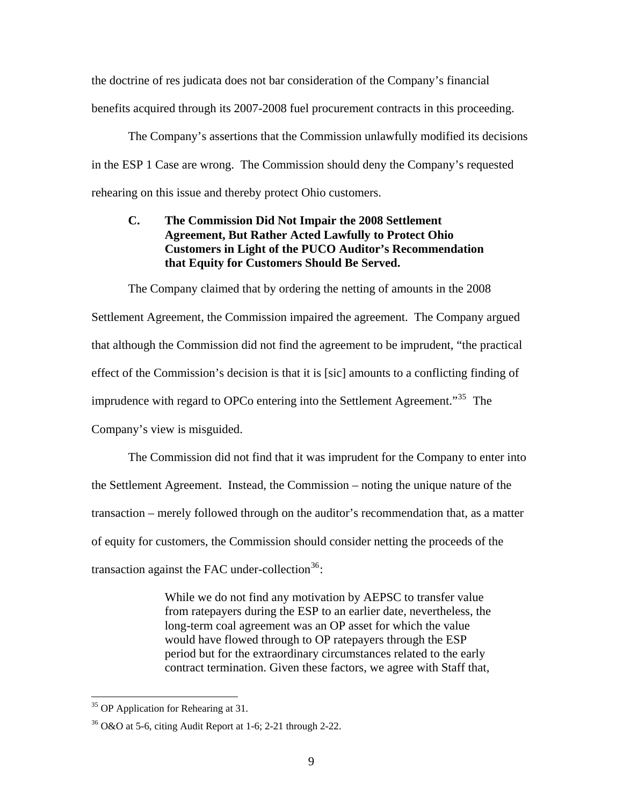<span id="page-10-0"></span>the doctrine of res judicata does not bar consideration of the Company's financial benefits acquired through its 2007-2008 fuel procurement contracts in this proceeding.

The Company's assertions that the Commission unlawfully modified its decisions in the ESP 1 Case are wrong. The Commission should deny the Company's requested rehearing on this issue and thereby protect Ohio customers.

## **C. The Commission Did Not Impair the 2008 Settlement Agreement, But Rather Acted Lawfully to Protect Ohio Customers in Light of the PUCO Auditor's Recommendation that Equity for Customers Should Be Served.**

The Company claimed that by ordering the netting of amounts in the 2008 Settlement Agreement, the Commission impaired the agreement. The Company argued that although the Commission did not find the agreement to be imprudent, "the practical effect of the Commission's decision is that it is [sic] amounts to a conflicting finding of imprudence with regard to OPCo entering into the Settlement Agreement."[35](#page-10-2) The Company's view is misguided.

The Commission did not find that it was imprudent for the Company to enter into the Settlement Agreement. Instead, the Commission – noting the unique nature of the transaction – merely followed through on the auditor's recommendation that, as a matter of equity for customers, the Commission should consider netting the proceeds of the transaction against the FAC under-collection<sup>[36](#page-10-1)</sup>:

> While we do not find any motivation by AEPSC to transfer value from ratepayers during the ESP to an earlier date, nevertheless, the long-term coal agreement was an OP asset for which the value would have flowed through to OP ratepayers through the ESP period but for the extraordinary circumstances related to the early contract termination. Given these factors, we agree with Staff that,

<span id="page-10-2"></span><sup>&</sup>lt;sup>35</sup> OP Application for Rehearing at 31.

<span id="page-10-1"></span> $36$  O&O at 5-6, citing Audit Report at 1-6; 2-21 through 2-22.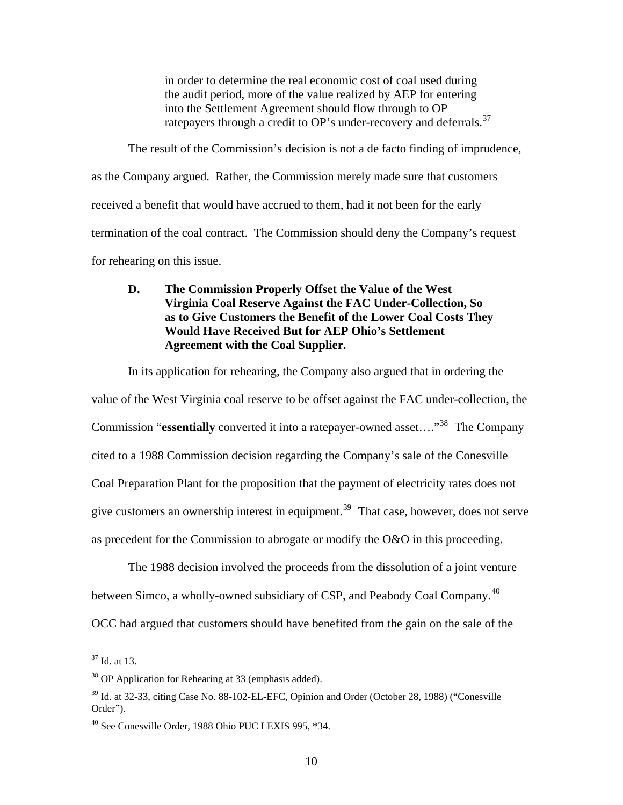in order to determine the real economic cost of coal used during the audit period, more of the value realized by AEP for entering into the Settlement Agreement should flow through to OP ratepayers through a credit to OP's under-recovery and deferrals.<sup>[37](#page-11-3)</sup>

<span id="page-11-0"></span>The result of the Commission's decision is not a de facto finding of imprudence, as the Company argued. Rather, the Commission merely made sure that customers received a benefit that would have accrued to them, had it not been for the early termination of the coal contract. The Commission should deny the Company's request for rehearing on this issue.

## **D. The Commission Properly Offset the Value of the West Virginia Coal Reserve Against the FAC Under-Collection, So as to Give Customers the Benefit of the Lower Coal Costs They Would Have Received But for AEP Ohio's Settlement Agreement with the Coal Supplier.**

In its application for rehearing, the Company also argued that in ordering the value of the West Virginia coal reserve to be offset against the FAC under-collection, the Commission "**essentially** converted it into a ratepayer-owned asset...."<sup>[38](#page-11-4)</sup> The Company cited to a 1988 Commission decision regarding the Company's sale of the Conesville Coal Preparation Plant for the proposition that the payment of electricity rates does not give customers an ownership interest in equipment.<sup>[39](#page-11-1)</sup> That case, however, does not serve as precedent for the Commission to abrogate or modify the O&O in this proceeding.

The 1988 decision involved the proceeds from the dissolution of a joint venture between Simco, a wholly-owned subsidiary of CSP, and Peabody Coal Company.[40](#page-11-2)

OCC had argued that customers should have benefited from the gain on the sale of the

1

<span id="page-11-3"></span> $37$  Id. at 13.

<span id="page-11-4"></span><sup>38</sup> OP Application for Rehearing at 33 (emphasis added).

<span id="page-11-1"></span><sup>&</sup>lt;sup>39</sup> Id. at 32-33, citing Case No. 88-102-EL-EFC, Opinion and Order (October 28, 1988) ("Conesville Order").

<span id="page-11-2"></span><sup>40</sup> See Conesville Order, 1988 Ohio PUC LEXIS 995, \*34.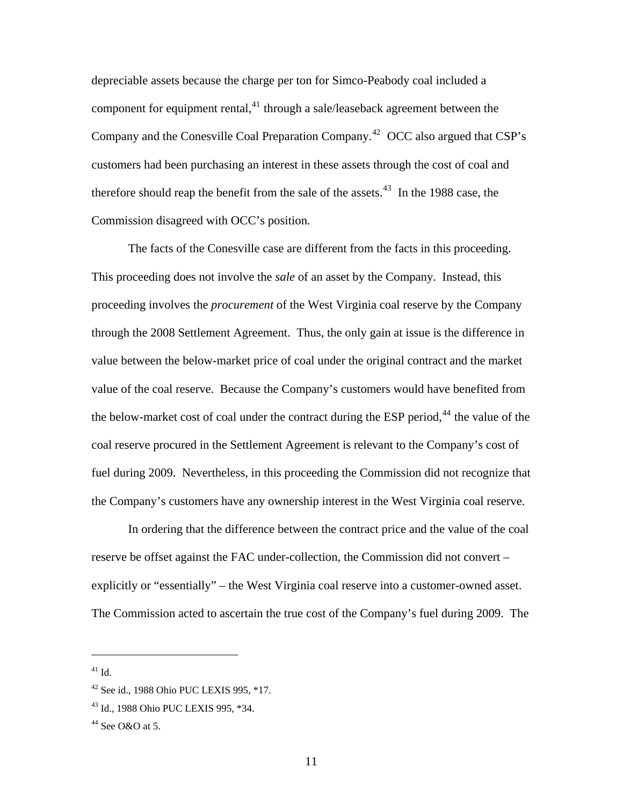depreciable assets because the charge per ton for Simco-Peabody coal included a component for equipment rental, $^{41}$  $^{41}$  $^{41}$  through a sale/leaseback agreement between the Company and the Conesville Coal Preparation Company.<sup>[42](#page-12-3)</sup> OCC also argued that CSP's customers had been purchasing an interest in these assets through the cost of coal and therefore should reap the benefit from the sale of the assets.<sup>[43](#page-12-0)</sup> In the 1988 case, the Commission disagreed with OCC's position.

The facts of the Conesville case are different from the facts in this proceeding. This proceeding does not involve the *sale* of an asset by the Company. Instead, this proceeding involves the *procurement* of the West Virginia coal reserve by the Company through the 2008 Settlement Agreement. Thus, the only gain at issue is the difference in value between the below-market price of coal under the original contract and the market value of the coal reserve. Because the Company's customers would have benefited from the below-market cost of coal under the contract during the ESP period, $44$  the value of the coal reserve procured in the Settlement Agreement is relevant to the Company's cost of fuel during 2009. Nevertheless, in this proceeding the Commission did not recognize that the Company's customers have any ownership interest in the West Virginia coal reserve.

In ordering that the difference between the contract price and the value of the coal reserve be offset against the FAC under-collection, the Commission did not convert – explicitly or "essentially" – the West Virginia coal reserve into a customer-owned asset. The Commission acted to ascertain the true cost of the Company's fuel during 2009. The

<span id="page-12-2"></span> $41$  Id.

<span id="page-12-3"></span><sup>42</sup> See id., 1988 Ohio PUC LEXIS 995, \*17.

<span id="page-12-0"></span><sup>43</sup> Id., 1988 Ohio PUC LEXIS 995, \*34.

<span id="page-12-1"></span> $44$  See O&O at 5.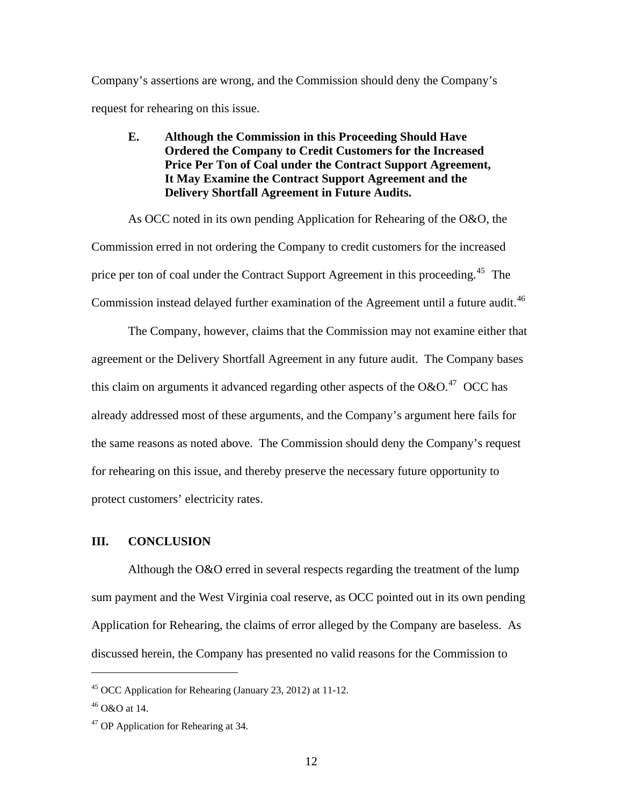<span id="page-13-0"></span>Company's assertions are wrong, and the Commission should deny the Company's request for rehearing on this issue.

## **E. Although the Commission in this Proceeding Should Have Ordered the Company to Credit Customers for the Increased Price Per Ton of Coal under the Contract Support Agreement, It May Examine the Contract Support Agreement and the Delivery Shortfall Agreement in Future Audits.**

As OCC noted in its own pending Application for Rehearing of the O&O, the Commission erred in not ordering the Company to credit customers for the increased price per ton of coal under the Contract Support Agreement in this proceeding.<sup>[45](#page-13-3)</sup> The Commission instead delayed further examination of the Agreement until a future audit.<sup>[46](#page-13-2)</sup>

The Company, however, claims that the Commission may not examine either that agreement or the Delivery Shortfall Agreement in any future audit. The Company bases this claim on arguments it advanced regarding other aspects of the O&O.<sup>[47](#page-13-1)</sup> OCC has already addressed most of these arguments, and the Company's argument here fails for the same reasons as noted above. The Commission should deny the Company's request for rehearing on this issue, and thereby preserve the necessary future opportunity to protect customers' electricity rates.

### **III. CONCLUSION**

Although the O&O erred in several respects regarding the treatment of the lump sum payment and the West Virginia coal reserve, as OCC pointed out in its own pending Application for Rehearing, the claims of error alleged by the Company are baseless. As discussed herein, the Company has presented no valid reasons for the Commission to

<span id="page-13-3"></span><sup>45</sup> OCC Application for Rehearing (January 23, 2012) at 11-12.

<span id="page-13-2"></span> $46$  O&O at 14.

<span id="page-13-1"></span><sup>47</sup> OP Application for Rehearing at 34.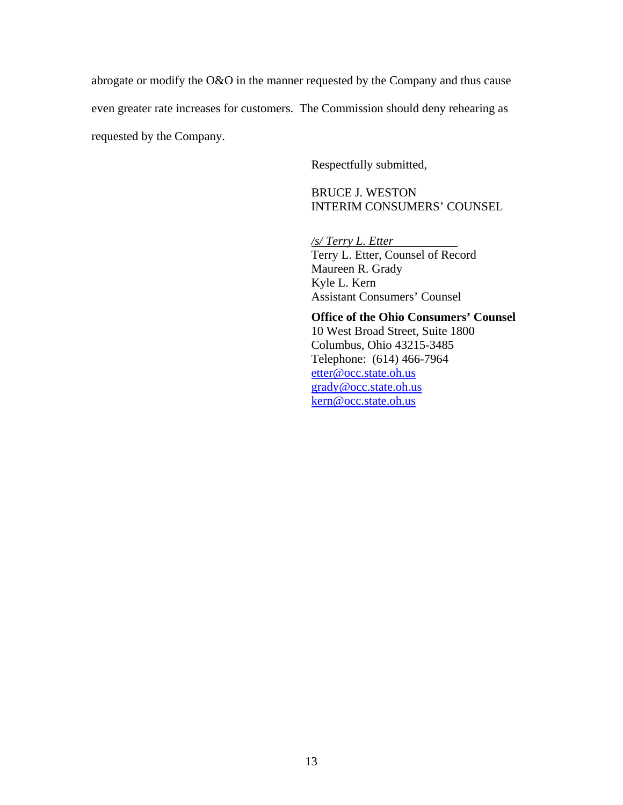abrogate or modify the O&O in the manner requested by the Company and thus cause even greater rate increases for customers. The Commission should deny rehearing as requested by the Company.

Respectfully submitted,

BRUCE J. WESTON INTERIM CONSUMERS' COUNSEL

*/s/ Terry L. Etter*  Terry L. Etter, Counsel of Record Maureen R. Grady Kyle L. Kern Assistant Consumers' Counsel

**Office of the Ohio Consumers' Counsel**  10 West Broad Street, Suite 1800 Columbus, Ohio 43215-3485 Telephone: (614) 466-7964 [etter@occ.state.oh.us](mailto:etter@occ.state.oh.us) [grady@occ.state.oh.us](mailto:grady@occ.state.oh.us) [kern@occ.state.oh.us](mailto:kern@occ.state.oh.us)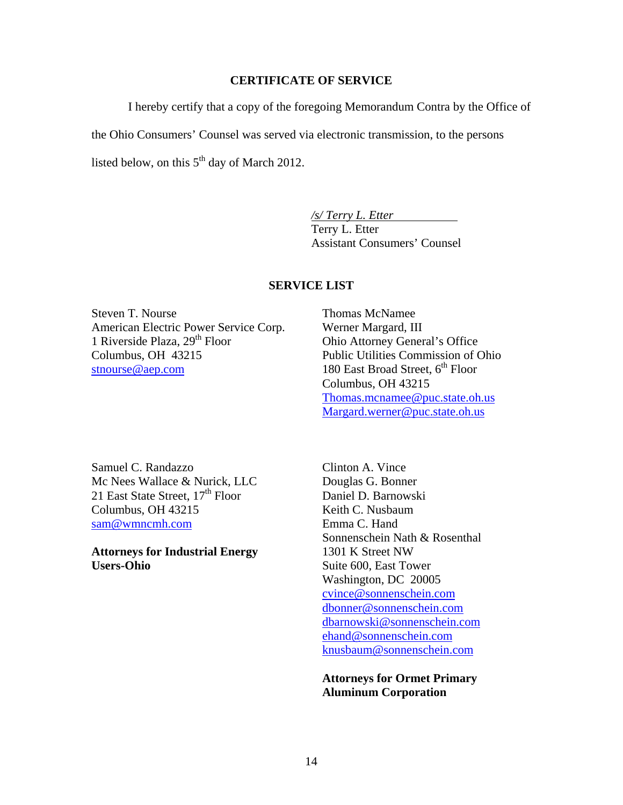#### **CERTIFICATE OF SERVICE**

I hereby certify that a copy of the foregoing Memorandum Contra by the Office of

the Ohio Consumers' Counsel was served via electronic transmission, to the persons

listed below, on this  $5<sup>th</sup>$  day of March 2012.

*/s/ Terry L. Etter*  Terry L. Etter Assistant Consumers' Counsel

#### **SERVICE LIST**

Steven T. Nourse American Electric Power Service Corp. 1 Riverside Plaza,  $29<sup>th</sup>$  Floor Columbus, OH 43215 [stnourse@aep.com](mailto:stnourse@aep.com)

Thomas McNamee Werner Margard, III Ohio Attorney General's Office Public Utilities Commission of Ohio 180 East Broad Street,  $6^{th}$  Floor Columbus, OH 43215 [Thomas.mcnamee@puc.state.oh.us](mailto:Thomas.mcnamee@puc.state.oh.us) [Margard.werner@puc.state.oh.us](mailto:Margard.werner@puc.state.oh.us)

Samuel C. Randazzo Mc Nees Wallace & Nurick, LLC 21 East State Street, 17<sup>th</sup> Floor Columbus, OH 43215 [sam@wmncmh.com](mailto:sam@wmncmh.com)

**Attorneys for Industrial Energy Users-Ohio**

Clinton A. Vince Douglas G. Bonner Daniel D. Barnowski Keith C. Nusbaum Emma C. Hand Sonnenschein Nath & Rosenthal 1301 K Street NW Suite 600, East Tower Washington, DC 20005 [cvince@sonnenschein.com](mailto:cvince@sonnenschein.com) [dbonner@sonnenschein.com](mailto:dbonner@sonnenschein.com) [dbarnowski@sonnenschein.com](mailto:dbarnowski@sonnenschein.com) [ehand@sonnenschein.com](mailto:ehand@sonnenschein.com) [knusbaum@sonnenschein.com](mailto:knusbaum@sonnenschein.com)

**Attorneys for Ormet Primary Aluminum Corporation**